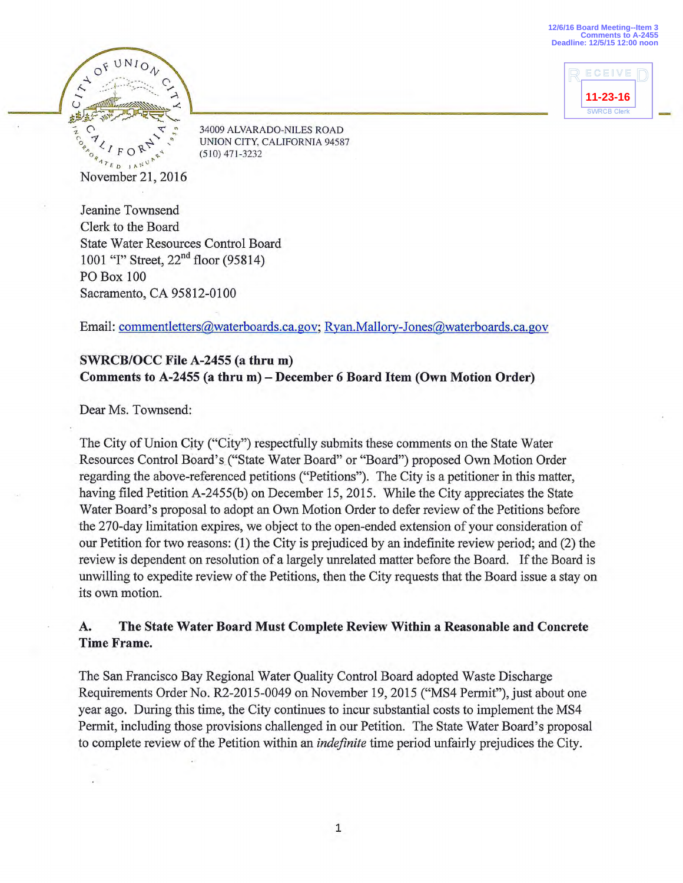**12/6/16 Board Meeting--Item 3 Comments to A-2455 Deadline: 12/5/15 12:00 noon**





34009 ALVARADO-NILES ROAD UNION CITY, CALIFORNIA 94587 (510) 471-3232

Jeanine Townsend Clerk to the Board State Water Resources Control Board 1001 "I" Street, 22<sup>nd</sup> floor (95814) PO Box 100 Sacramento, CA 95812-0100

Email: commentletters@waterboards.ca.gov; Ryan.Mallory-Jones@waterboards.ca.gov

## **SWRCB/OCC File A-2455 (a thru m) Comments to A-2455 (a thru m) — December 6 Board Item (Own Motion Order)**

Dear Ms. Townsend:

The City of Union City ("City") respectfully submits these comments on the State Water Resources Control Board's ("State Water Board" or "Board") proposed Own Motion Order regarding the above-referenced petitions ("Petitions"). The City is a petitioner in this matter, having filed Petition A-2455(b) on December 15, 2015. While the City appreciates the State Water Board's proposal to adopt an Own Motion Order to defer review of the Petitions before the 270-day limitation expires, we object to the open-ended extension of your consideration of our Petition for two reasons: (1) the City is prejudiced by an indefinite review period; and (2) the review is dependent on resolution of a largely unrelated matter before the Board. If the Board is unwilling to expedite review of the Petitions, then the City requests that the Board issue a stay on its own motion.

## **A. The State Water Board Must Complete Review Within a Reasonable and Concrete Time Frame.**

The San Francisco Bay Regional Water Quality Control Board adopted Waste Discharge Requirements Order No. R2-2015-0049 on November 19, 2015 ("MS4 Permit"), just about one year ago. During this time, the City continues to incur substantial costs to implement the MS4 Permit, including those provisions challenged in our Petition. The State Water Board's proposal to complete review of the Petition within an *indefinite* time period unfairly prejudices the City.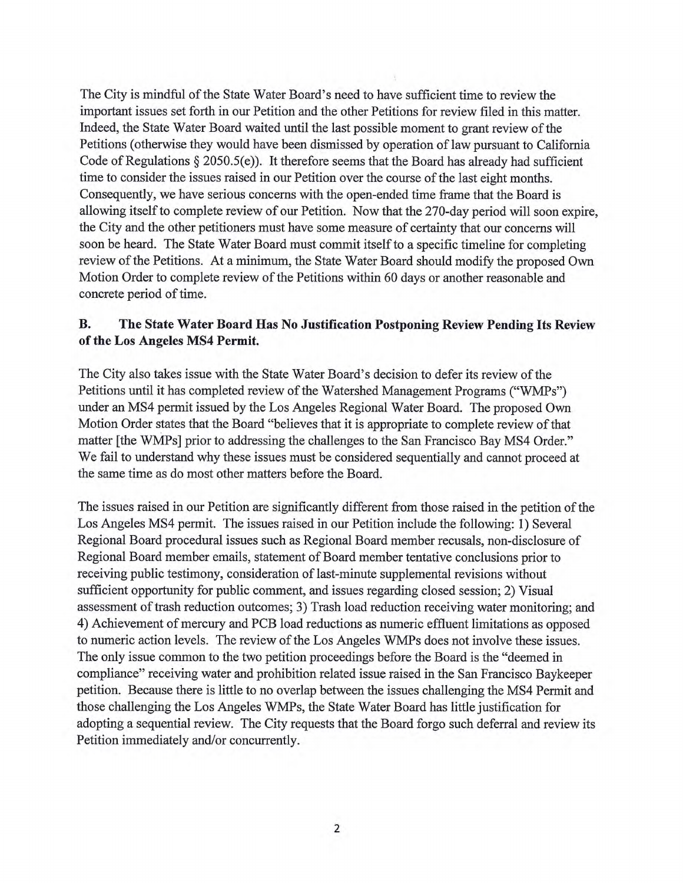The City is mindful of the State Water Board's need to have sufficient time to review the important issues set forth in our Petition and the other Petitions for review filed in this matter. Indeed, the State Water Board waited until the last possible moment to grant review of the Petitions (otherwise they would have been dismissed by operation of law pursuant to California Code of Regulations § 2050.5(e)). It therefore seems that the Board has already had sufficient time to consider the issues raised in our Petition over the course of the last eight months. Consequently, we have serious concerns with the open-ended time frame that the Board is allowing itself to complete review of our Petition. Now that the 270-day period will soon expire, the City and the other petitioners must have some measure of certainty that our concerns will soon be heard. The State Water Board must commit itself to a specific timeline for completing review of the Petitions. At a minimum, the State Water Board should modify the proposed Own Motion Order to complete review of the Petitions within 60 days or another reasonable and concrete period of time.

## **B. The State Water Board Has No Justification Postponing Review Pending Its Review of the Los Angeles MS4 Permit.**

The City also takes issue with the State Water Board's decision to defer its review of the Petitions until it has completed review of the Watershed Management Programs ("WMPs") under an MS4 permit issued by the Los Angeles Regional Water Board. The proposed Own Motion Order states that the Board "believes that it is appropriate to complete review of that matter [the WMPs] prior to addressing the challenges to the San Francisco Bay MS4 Order." We fail to understand why these issues must be considered sequentially and cannot proceed at the same time as do most other matters before the Board.

The issues raised in our Petition are significantly different from those raised in the petition of the Los Angeles MS4 permit. The issues raised in our Petition include the following: 1) Several Regional Board procedural issues such as Regional Board member recusals, non-disclosure of Regional Board member emails, statement of Board member tentative conclusions prior to receiving public testimony, consideration of last-minute supplemental revisions without sufficient opportunity for public comment, and issues regarding closed session; 2) Visual assessment of trash reduction outcomes; 3) Trash load reduction receiving water monitoring; and 4) Achievement of mercury and PCB load reductions as numeric effluent limitations as opposed to numeric action levels. The review of the Los Angeles WMPs does not involve these issues. The only issue common to the two petition proceedings before the Board is the "deemed in compliance" receiving water and prohibition related issue raised in the San Francisco Baykeeper petition. Because there is little to no overlap between the issues challenging the MS4 Permit and those challenging the Los Angeles WMPs, the State Water Board has little justification for adopting a sequential review. The City requests that the Board forgo such deferral and review its Petition immediately and/or concurrently.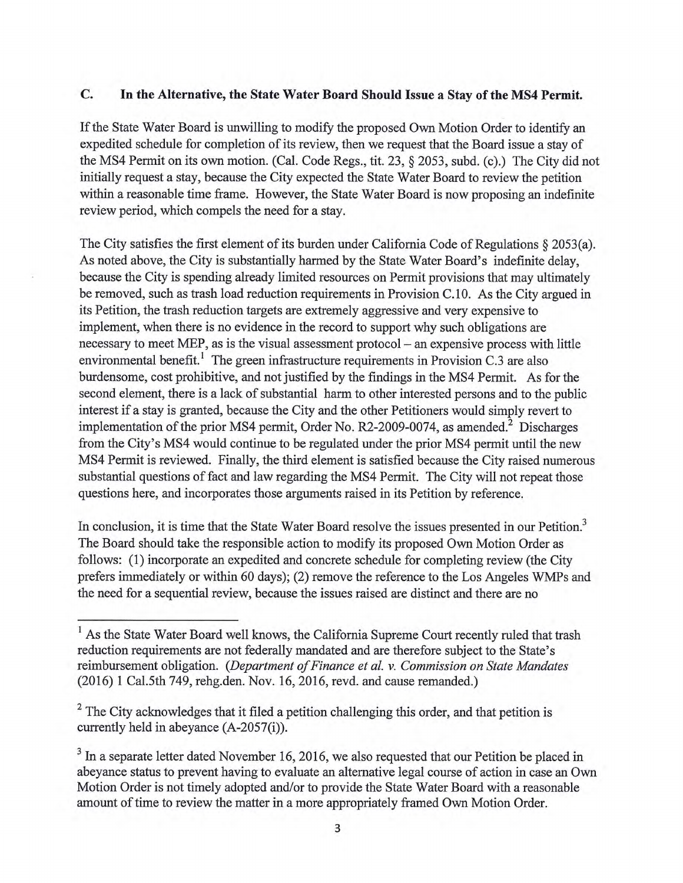## **C. In the Alternative, the State Water Board Should Issue a Stay of the MS4 Permit.**

If the State Water Board is unwilling to modify the proposed Own Motion Order to identify an expedited schedule for completion of its review, then we request that the Board issue a stay of the MS4 Permit on its own motion. (Cal. Code Regs., tit. 23, § 2053, subd. (c).) The City did not initially request a stay, because the City expected the State Water Board to review the petition within a reasonable time frame. However, the State Water Board is now proposing an indefinite review period, which compels the need for a stay.

The City satisfies the first element of its burden under California Code of Regulations § 2053(a). As noted above, the City is substantially harmed by the State Water Board's indefinite delay, because the City is spending already limited resources on Permit provisions that may ultimately be removed, such as trash load reduction requirements in Provision C.10. As the City argued in its Petition, the trash reduction targets are extremely aggressive and very expensive to implement, when there is no evidence in the record to support why such obligations are necessary to meet MEP, as is the visual assessment protocol — an expensive process with little environmental benefit.' The green infrastructure requirements in Provision C.3 are also burdensome, cost prohibitive, and not justified by the findings in the MS4 Permit. As for the second element, there is a lack of substantial harm to other interested persons and to the public interest if a stay is granted, because the City and the other Petitioners would simply revert to implementation of the prior MS4 permit, Order No. R2-2009-0074, as amended.<sup>2</sup> Discharges from the City's MS4 would continue to be regulated under the prior MS4 permit until the new MS4 Permit is reviewed. Finally, the third element is satisfied because the City raised numerous substantial questions of fact and law regarding the MS4 Permit. The City will not repeat those questions here, and incorporates those arguments raised in its Petition by reference.

In conclusion, it is time that the State Water Board resolve the issues presented in our Petition.<sup>3</sup> The Board should take the responsible action to modify its proposed Own Motion Order as follows: (1) incorporate an expedited and concrete schedule for completing review (the City prefers immediately or within 60 days); (2) remove the reference to the Los Angeles WMPs and the need for a sequential review, because the issues raised are distinct and there are no

<sup>&</sup>lt;sup>1</sup> As the State Water Board well knows, the California Supreme Court recently ruled that trash reduction requirements are not federally mandated and are therefore subject to the State's reimbursement obligation. *(Department of Finance et al. v. Commission on State Mandates*  (2016) 1 Ca1.5th 749, rehg.den. Nov. 16, 2016, revd. and cause remanded.)

 $2$  The City acknowledges that it filed a petition challenging this order, and that petition is currently held in abeyance (A-2057(i)).

 $3$  In a separate letter dated November 16, 2016, we also requested that our Petition be placed in abeyance status to prevent having to evaluate an alternative legal course of action in case an Own Motion Order is not timely adopted and/or to provide the State Water Board with a reasonable amount of time to review the matter in a more appropriately framed Own Motion Order.